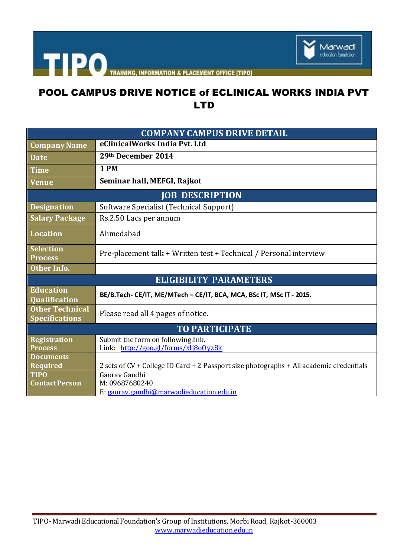

| <b>COMPANY CAMPUS DRIVE DETAIL</b>              |                                                                                                          |
|-------------------------------------------------|----------------------------------------------------------------------------------------------------------|
| <b>Company Name</b>                             | eClinicalWorks India Pvt. Ltd                                                                            |
| <b>Date</b>                                     | 29th December 2014                                                                                       |
| <b>Time</b>                                     | 1PM                                                                                                      |
| <b>Venue</b>                                    | Seminar hall, MEFGI, Rajkot                                                                              |
| <b>JOB DESCRIPTION</b>                          |                                                                                                          |
| <b>Designation</b>                              | Software Specialist (Technical Support)                                                                  |
| <b>Salary Package</b>                           | Rs.2.50 Lacs per annum                                                                                   |
| <b>Location</b>                                 | Ahmedabad                                                                                                |
| <b>Selection</b><br><b>Process</b>              | Pre-placement talk + Written test + Technical / Personal interview                                       |
| Other Info.                                     |                                                                                                          |
| <b>ELIGIBILITY PARAMETERS</b>                   |                                                                                                          |
| <b>Education</b><br><b>Qualification</b>        | BE/B.Tech- CE/IT, ME/MTech - CE/IT, BCA, MCA, BSc IT, MSc IT - 2015.                                     |
| <b>Other Technical</b><br><b>Specifications</b> | Please read all 4 pages of notice.                                                                       |
| <b>TO PARTICIPATE</b>                           |                                                                                                          |
| <b>Registration</b><br><b>Process</b>           | Submit the form on following link.<br>Link: http://goo.gl/forms/xlj8o0yz8k                               |
| <b>Documents</b>                                |                                                                                                          |
| <b>Required</b><br><b>TIPO</b>                  | 2 sets of CV + College ID Card + 2 Passport size photographs + All academic credentials<br>Gauray Gandhi |
| <b>Contact Person</b>                           | M: 09687680240                                                                                           |
|                                                 | E: gauray.gandhi@marwadieducation.edu.in                                                                 |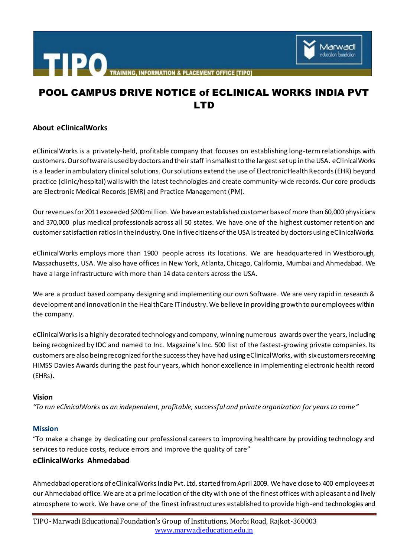

## **About eClinicalWorks**

eClinicalWorks is a privately-held, profitable company that focuses on establishing long-term relationships with customers. Our software is used by doctors and their staff in smallest to the largest set up in the USA. eClinicalWorks is a leader in ambulatory clinical solutions. Our solutions extend the use of Electronic Health Records(EHR) beyond practice (clinic/hospital) walls with the latest technologies and create community-wide records. Our core products are Electronic Medical Records (EMR) and Practice Management (PM).

Our revenues for 2011 exceeded \$200 million. We havean established customer base of more than 60,000 physicians and 370,000 plus medical professionals across all 50 states. We have one of the highest customer retention and customer satisfaction ratios in the industry. One in five citizens of the USA is treated by doctors using eClinicalWorks.

eClinicalWorks employs more than 1900 people across its locations. We are headquartered in Westborough, Massachusetts, USA. We also have offices in New York, Atlanta, Chicago, California, Mumbai and Ahmedabad. We have a large infrastructure with more than 14 data centers across the USA.

We are a product based company designing and implementing our own Software. We are very rapid in research & development and innovation in the HealthCare IT industry. We believe in providing growth to our employees within the company.

eClinicalWorks is a highly decorated technology and company, winning numerous awards over the years, including being recognized by IDC and named to Inc. Magazine's Inc. 500 list of the fastest-growing private companies. Its customers are also being recognized for the success they have had using eClinicalWorks, with six customers receiving HIMSS Davies Awards during the past four years, which honor excellence in implementing electronic health record (EHRs).

## **Vision**

*"To run eClinicalWorks as an independent, profitable, successful and private organization for years to come"*

# **Mission**

"To make a change by dedicating our professional careers to improving healthcare by providing technology and services to reduce costs, reduce errors and improve the quality of care"

## **eClinicalWorks Ahmedabad**

Ahmedabad operations of eClinicalWorks India Pvt. Ltd. started from April 2009. We have close to 400 employees at our Ahmedabad office. We are at a prime location of the city with one of the finest offices with a pleasant and lively atmosphere to work. We have one of the finest infrastructures established to provide high-end technologies and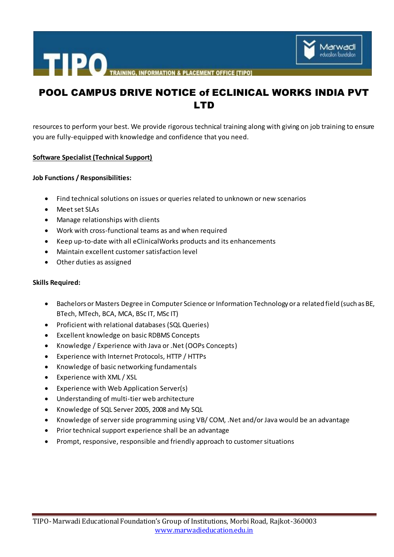

resources to perform your best. We provide rigorous technical training along with giving on job training to ensure you are fully-equipped with knowledge and confidence that you need.

### **Software Specialist (Technical Support)**

### **Job Functions / Responsibilities:**

- Find technical solutions on issues or queries related to unknown or new scenarios
- Meet set SLAs
- Manage relationships with clients
- Work with cross-functional teams as and when required
- Keep up-to-date with all eClinicalWorks products and its enhancements
- Maintain excellent customer satisfaction level
- Other duties as assigned

### **Skills Required:**

- Bachelors or Masters Degree in Computer Science or Information Technology or a related field (such as BE, BTech, MTech, BCA, MCA, BSc IT, MSc IT)
- Proficient with relational databases (SQL Queries)
- Excellent knowledge on basic RDBMS Concepts
- Knowledge / Experience with Java or .Net (OOPs Concepts)
- Experience with Internet Protocols, HTTP / HTTPs
- Knowledge of basic networking fundamentals
- Experience with XML / XSL
- Experience with Web Application Server(s)
- Understanding of multi-tier web architecture
- Knowledge of SQL Server 2005, 2008 and My SQL
- Knowledge of server side programming using VB/ COM, .Net and/or Java would be an advantage
- Prior technical support experience shall be an advantage
- Prompt, responsive, responsible and friendly approach to customer situations